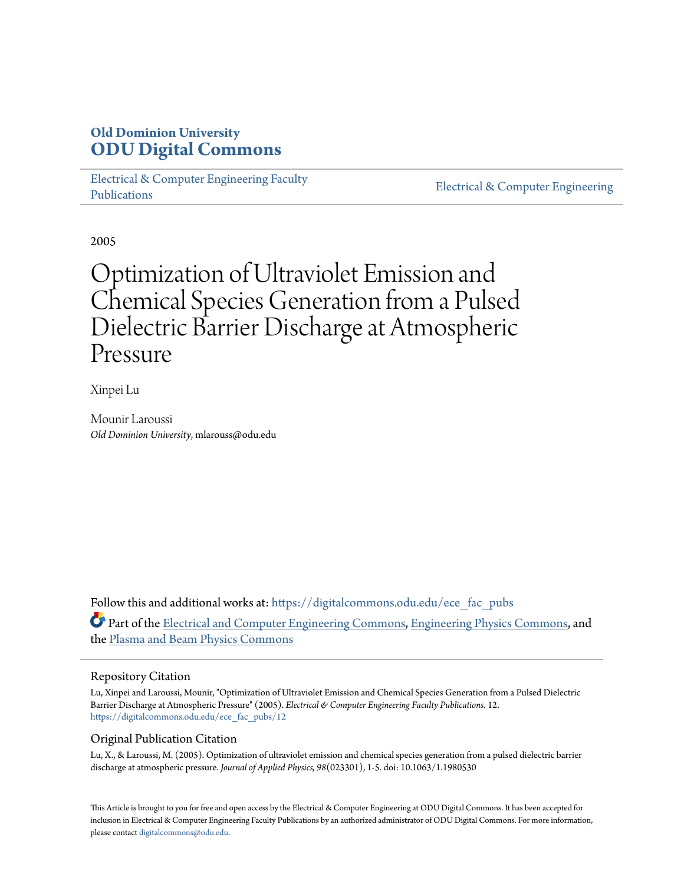# **Old Dominion University [ODU Digital Commons](https://digitalcommons.odu.edu?utm_source=digitalcommons.odu.edu%2Fece_fac_pubs%2F12&utm_medium=PDF&utm_campaign=PDFCoverPages)**

[Electrical & Computer Engineering Faculty](https://digitalcommons.odu.edu/ece_fac_pubs?utm_source=digitalcommons.odu.edu%2Fece_fac_pubs%2F12&utm_medium=PDF&utm_campaign=PDFCoverPages) [Publications](https://digitalcommons.odu.edu/ece_fac_pubs?utm_source=digitalcommons.odu.edu%2Fece_fac_pubs%2F12&utm_medium=PDF&utm_campaign=PDFCoverPages)

[Electrical & Computer Engineering](https://digitalcommons.odu.edu/ece?utm_source=digitalcommons.odu.edu%2Fece_fac_pubs%2F12&utm_medium=PDF&utm_campaign=PDFCoverPages)

2005

# Optimization of Ultraviolet Emission and Chemical Species Generation from a Pulsed Dielectric Barrier Discharge at Atmospheric Pressure

Xinpei Lu

Mounir Laroussi *Old Dominion University*, mlarouss@odu.edu

Follow this and additional works at: [https://digitalcommons.odu.edu/ece\\_fac\\_pubs](https://digitalcommons.odu.edu/ece_fac_pubs?utm_source=digitalcommons.odu.edu%2Fece_fac_pubs%2F12&utm_medium=PDF&utm_campaign=PDFCoverPages) Part of the [Electrical and Computer Engineering Commons](http://network.bepress.com/hgg/discipline/266?utm_source=digitalcommons.odu.edu%2Fece_fac_pubs%2F12&utm_medium=PDF&utm_campaign=PDFCoverPages), [Engineering Physics Commons](http://network.bepress.com/hgg/discipline/200?utm_source=digitalcommons.odu.edu%2Fece_fac_pubs%2F12&utm_medium=PDF&utm_campaign=PDFCoverPages), and the [Plasma and Beam Physics Commons](http://network.bepress.com/hgg/discipline/205?utm_source=digitalcommons.odu.edu%2Fece_fac_pubs%2F12&utm_medium=PDF&utm_campaign=PDFCoverPages)

## Repository Citation

Lu, Xinpei and Laroussi, Mounir, "Optimization of Ultraviolet Emission and Chemical Species Generation from a Pulsed Dielectric Barrier Discharge at Atmospheric Pressure" (2005). *Electrical & Computer Engineering Faculty Publications*. 12. [https://digitalcommons.odu.edu/ece\\_fac\\_pubs/12](https://digitalcommons.odu.edu/ece_fac_pubs/12?utm_source=digitalcommons.odu.edu%2Fece_fac_pubs%2F12&utm_medium=PDF&utm_campaign=PDFCoverPages)

## Original Publication Citation

Lu, X., & Laroussi, M. (2005). Optimization of ultraviolet emission and chemical species generation from a pulsed dielectric barrier discharge at atmospheric pressure. *Journal of Applied Physics, 98*(023301), 1-5. doi: 10.1063/1.1980530

This Article is brought to you for free and open access by the Electrical & Computer Engineering at ODU Digital Commons. It has been accepted for inclusion in Electrical & Computer Engineering Faculty Publications by an authorized administrator of ODU Digital Commons. For more information, please contact [digitalcommons@odu.edu](mailto:digitalcommons@odu.edu).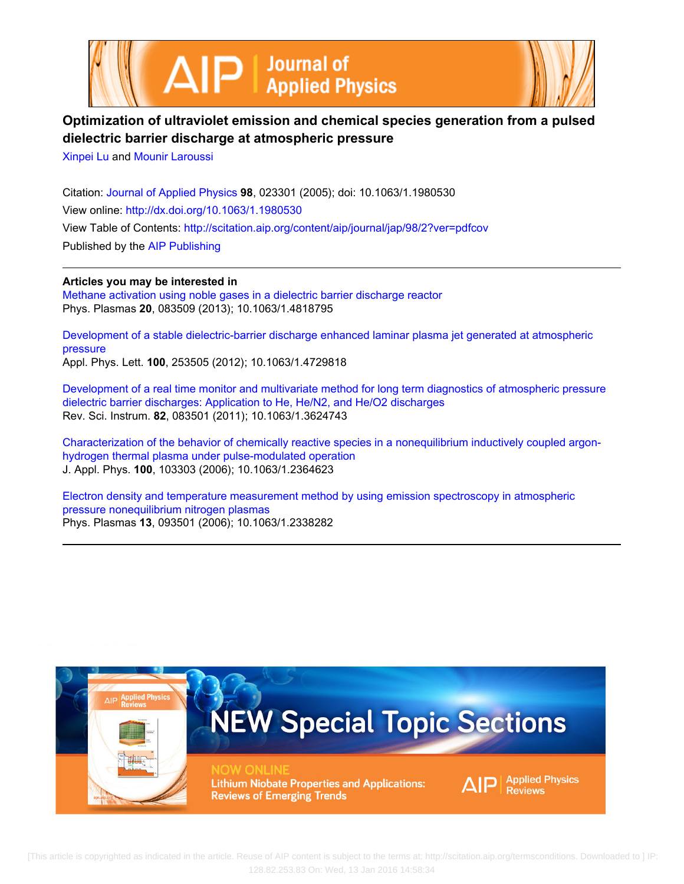



# **Optimization of ultraviolet emission and chemical species generation from a pulsed dielectric barrier discharge at atmospheric pressure**

[Xinpei Lu](http://scitation.aip.org/search?value1=Xinpei+Lu&option1=author) and [Mounir Laroussi](http://scitation.aip.org/search?value1=Mounir+Laroussi&option1=author)

Citation: [Journal of Applied Physics](http://scitation.aip.org/content/aip/journal/jap?ver=pdfcov) **98**, 023301 (2005); doi: 10.1063/1.1980530 View online: <http://dx.doi.org/10.1063/1.1980530> View Table of Contents: <http://scitation.aip.org/content/aip/journal/jap/98/2?ver=pdfcov> Published by the [AIP Publishing](http://scitation.aip.org/content/aip?ver=pdfcov)

**Articles you may be interested in**

[Methane activation using noble gases in a dielectric barrier discharge reactor](http://scitation.aip.org/content/aip/journal/pop/20/8/10.1063/1.4818795?ver=pdfcov) Phys. Plasmas **20**, 083509 (2013); 10.1063/1.4818795

[Development of a stable dielectric-barrier discharge enhanced laminar plasma jet generated at atmospheric](http://scitation.aip.org/content/aip/journal/apl/100/25/10.1063/1.4729818?ver=pdfcov) [pressure](http://scitation.aip.org/content/aip/journal/apl/100/25/10.1063/1.4729818?ver=pdfcov) Appl. Phys. Lett. **100**, 253505 (2012); 10.1063/1.4729818

[Development of a real time monitor and multivariate method for long term diagnostics of atmospheric pressure](http://scitation.aip.org/content/aip/journal/rsi/82/8/10.1063/1.3624743?ver=pdfcov) [dielectric barrier discharges: Application to He, He/N2, and He/O2 discharges](http://scitation.aip.org/content/aip/journal/rsi/82/8/10.1063/1.3624743?ver=pdfcov) Rev. Sci. Instrum. **82**, 083501 (2011); 10.1063/1.3624743

[Characterization of the behavior of chemically reactive species in a nonequilibrium inductively coupled argon](http://scitation.aip.org/content/aip/journal/jap/100/10/10.1063/1.2364623?ver=pdfcov)[hydrogen thermal plasma under pulse-modulated operation](http://scitation.aip.org/content/aip/journal/jap/100/10/10.1063/1.2364623?ver=pdfcov) J. Appl. Phys. **100**, 103303 (2006); 10.1063/1.2364623

[Electron density and temperature measurement method by using emission spectroscopy in atmospheric](http://scitation.aip.org/content/aip/journal/pop/13/9/10.1063/1.2338282?ver=pdfcov) [pressure nonequilibrium nitrogen plasmas](http://scitation.aip.org/content/aip/journal/pop/13/9/10.1063/1.2338282?ver=pdfcov) Phys. Plasmas **13**, 093501 (2006); 10.1063/1.2338282

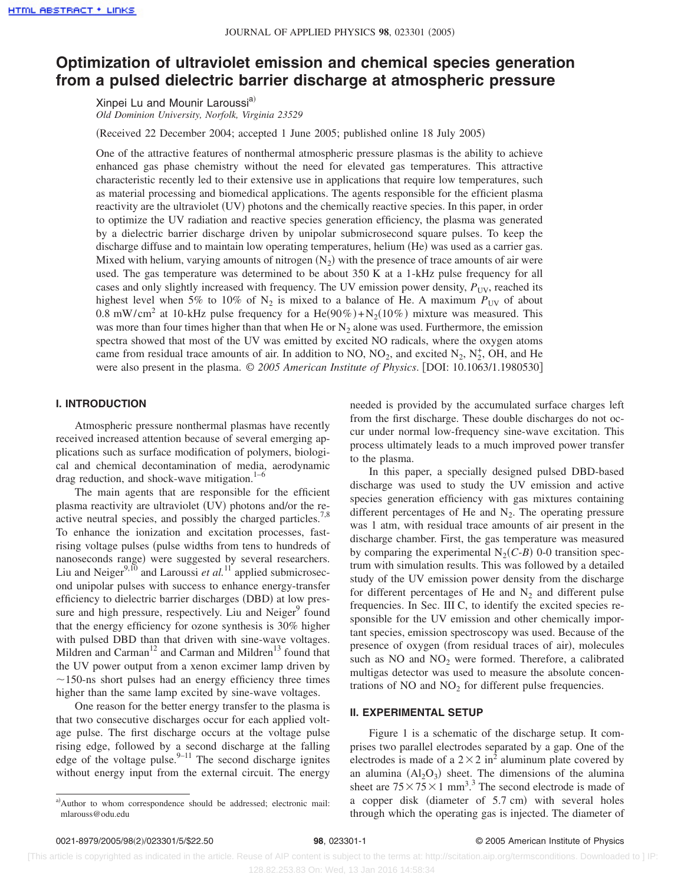## **Optimization of ultraviolet emission and chemical species generation from a pulsed dielectric barrier discharge at atmospheric pressure**

Xinpei Lu and Mounir Laroussi<sup>a)</sup> *Old Dominion University, Norfolk, Virginia 23529*

(Received 22 December 2004; accepted 1 June 2005; published online 18 July 2005)

One of the attractive features of nonthermal atmospheric pressure plasmas is the ability to achieve enhanced gas phase chemistry without the need for elevated gas temperatures. This attractive characteristic recently led to their extensive use in applications that require low temperatures, such as material processing and biomedical applications. The agents responsible for the efficient plasma reactivity are the ultraviolet (UV) photons and the chemically reactive species. In this paper, in order to optimize the UV radiation and reactive species generation efficiency, the plasma was generated by a dielectric barrier discharge driven by unipolar submicrosecond square pulses. To keep the discharge diffuse and to maintain low operating temperatures, helium (He) was used as a carrier gas. Mixed with helium, varying amounts of nitrogen  $(N_2)$  with the presence of trace amounts of air were used. The gas temperature was determined to be about 350 K at a 1-kHz pulse frequency for all cases and only slightly increased with frequency. The UV emission power density,  $P_{\text{UV}}$ , reached its highest level when 5% to 10% of  $N_2$  is mixed to a balance of He. A maximum  $P_{UV}$  of about 0.8 mW/cm<sup>2</sup> at 10-kHz pulse frequency for a He(90%)+N<sub>2</sub>(10%) mixture was measured. This was more than four times higher than that when He or  $N<sub>2</sub>$  alone was used. Furthermore, the emission spectra showed that most of the UV was emitted by excited NO radicals, where the oxygen atoms came from residual trace amounts of air. In addition to NO,  $NO_2$ , and excited  $N_2$ ,  $N_2^+$ , OH, and He were also present in the plasma.  $\textcircled{ }2005$  American Institute of Physics. [DOI: 10.1063/1.1980530]

#### **I. INTRODUCTION**

Atmospheric pressure nonthermal plasmas have recently received increased attention because of several emerging applications such as surface modification of polymers, biological and chemical decontamination of media, aerodynamic drag reduction, and shock-wave mitigation. $1-6$ 

The main agents that are responsible for the efficient plasma reactivity are ultraviolet (UV) photons and/or the reactive neutral species, and possibly the charged particles.<sup>7,8</sup> To enhance the ionization and excitation processes, fastrising voltage pulses (pulse widths from tens to hundreds of nanoseconds range) were suggested by several researchers. Liu and Neiger<sup>9,10</sup> and Laroussi *et al.*<sup>11</sup> applied submicrosecond unipolar pulses with success to enhance energy-transfer efficiency to dielectric barrier discharges (DBD) at low pressure and high pressure, respectively. Liu and Neiger<sup>9</sup> found that the energy efficiency for ozone synthesis is 30% higher with pulsed DBD than that driven with sine-wave voltages. Mildren and Carman<sup>12</sup> and Carman and Mildren<sup>13</sup> found that the UV power output from a xenon excimer lamp driven by  $\sim$ 150-ns short pulses had an energy efficiency three times higher than the same lamp excited by sine-wave voltages.

One reason for the better energy transfer to the plasma is that two consecutive discharges occur for each applied voltage pulse. The first discharge occurs at the voltage pulse rising edge, followed by a second discharge at the falling edge of the voltage pulse. $9-11$  The second discharge ignites without energy input from the external circuit. The energy

a)Author to whom correspondence should be addressed; electronic mail: mlarouss@odu.edu

needed is provided by the accumulated surface charges left from the first discharge. These double discharges do not occur under normal low-frequency sine-wave excitation. This process ultimately leads to a much improved power transfer to the plasma.

In this paper, a specially designed pulsed DBD-based discharge was used to study the UV emission and active species generation efficiency with gas mixtures containing different percentages of He and  $N_2$ . The operating pressure was 1 atm, with residual trace amounts of air present in the discharge chamber. First, the gas temperature was measured by comparing the experimental  $N_2(C-B)$  0-0 transition spectrum with simulation results. This was followed by a detailed study of the UV emission power density from the discharge for different percentages of He and  $N_2$  and different pulse frequencies. In Sec. III C, to identify the excited species responsible for the UV emission and other chemically important species, emission spectroscopy was used. Because of the presence of oxygen (from residual traces of air), molecules such as  $NO$  and  $NO<sub>2</sub>$  were formed. Therefore, a calibrated multigas detector was used to measure the absolute concentrations of NO and  $NO<sub>2</sub>$  for different pulse frequencies.

### **II. EXPERIMENTAL SETUP**

Figure 1 is a schematic of the discharge setup. It comprises two parallel electrodes separated by a gap. One of the electrodes is made of a  $2 \times 2$  in<sup>2</sup> aluminum plate covered by an alumina  $(Al_2O_3)$  sheet. The dimensions of the alumina sheet are  $75 \times 75 \times 1$  mm<sup>3</sup>.<sup>3</sup> The second electrode is made of a copper disk (diameter of 5.7 cm) with several holes through which the operating gas is injected. The diameter of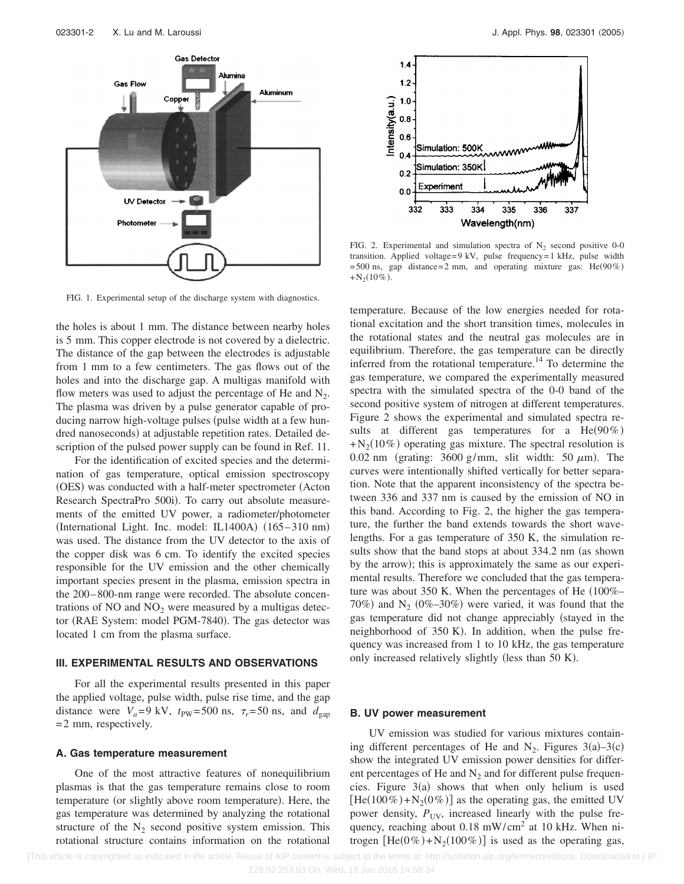

FIG. 1. Experimental setup of the discharge system with diagnostics.

the holes is about 1 mm. The distance between nearby holes is 5 mm. This copper electrode is not covered by a dielectric. The distance of the gap between the electrodes is adjustable from 1 mm to a few centimeters. The gas flows out of the holes and into the discharge gap. A multigas manifold with flow meters was used to adjust the percentage of He and  $N_2$ . The plasma was driven by a pulse generator capable of producing narrow high-voltage pulses (pulse width at a few hundred nanoseconds) at adjustable repetition rates. Detailed description of the pulsed power supply can be found in Ref. 11.

For the identification of excited species and the determination of gas temperature, optical emission spectroscopy (OES) was conducted with a half-meter spectrometer (Acton Research SpectraPro 500i). To carry out absolute measurements of the emitted UV power, a radiometer/photometer (International Light. Inc. model: IL1400A) (165-310 nm) was used. The distance from the UV detector to the axis of the copper disk was 6 cm. To identify the excited species responsible for the UV emission and the other chemically important species present in the plasma, emission spectra in the 200– 800-nm range were recorded. The absolute concentrations of  $NO$  and  $NO<sub>2</sub>$  were measured by a multigas detector (RAE System: model PGM-7840). The gas detector was located 1 cm from the plasma surface.

#### **III. EXPERIMENTAL RESULTS AND OBSERVATIONS**

For all the experimental results presented in this paper the applied voltage, pulse width, pulse rise time, and the gap distance were  $V_a = 9$  kV,  $t_{\text{PW}} = 500$  ns,  $\tau_r = 50$  ns, and  $d_{\text{gap}}$ = 2 mm, respectively.

#### **A. Gas temperature measurement**

One of the most attractive features of nonequilibrium plasmas is that the gas temperature remains close to room temperature (or slightly above room temperature). Here, the gas temperature was determined by analyzing the rotational structure of the  $N_2$  second positive system emission. This rotational structure contains information on the rotational



FIG. 2. Experimental and simulation spectra of  $N_2$  second positive 0-0 transition. Applied voltage= 9 kV, pulse frequency= 1 kHz, pulse width  $= 500$  ns, gap distance= 2 mm, and operating mixture gas: He( $90\%$ )  $+N_2(10\%)$ .

temperature. Because of the low energies needed for rotational excitation and the short transition times, molecules in the rotational states and the neutral gas molecules are in equilibrium. Therefore, the gas temperature can be directly inferred from the rotational temperature.<sup>14</sup> To determine the gas temperature, we compared the experimentally measured spectra with the simulated spectra of the 0-0 band of the second positive system of nitrogen at different temperatures. Figure 2 shows the experimental and simulated spectra results at different gas temperatures for a  $He(90\%)$  $+N_2(10\%)$  operating gas mixture. The spectral resolution is 0.02 nm (grating:  $3600$  g/mm, slit width:  $50 \mu m$ ). The curves were intentionally shifted vertically for better separation. Note that the apparent inconsistency of the spectra between 336 and 337 nm is caused by the emission of NO in this band. According to Fig. 2, the higher the gas temperature, the further the band extends towards the short wavelengths. For a gas temperature of 350 K, the simulation results show that the band stops at about 334.2 nm (as shown by the arrow); this is approximately the same as our experimental results. Therefore we concluded that the gas temperature was about 350 K. When the percentages of He  $(100\% -$ 70%) and  $N_2$  (0%-30%) were varied, it was found that the gas temperature did not change appreciably (stayed in the neighborhood of 350 K). In addition, when the pulse frequency was increased from 1 to 10 kHz, the gas temperature only increased relatively slightly (less than 50 K).

#### **B. UV power measurement**

UV emission was studied for various mixtures containing different percentages of He and  $N_2$ . Figures 3(a)–3(c) show the integrated UV emission power densities for different percentages of He and  $N_2$  and for different pulse frequencies. Figure  $3(a)$  shows that when only helium is used  $[He(100\%) + N_2(0\%)]$  as the operating gas, the emitted UV power density,  $P_{UV}$ , increased linearly with the pulse frequency, reaching about  $0.18$  mW/cm<sup>2</sup> at 10 kHz. When nitrogen  $[He(0\%) + N_2(100\%)]$  is used as the operating gas,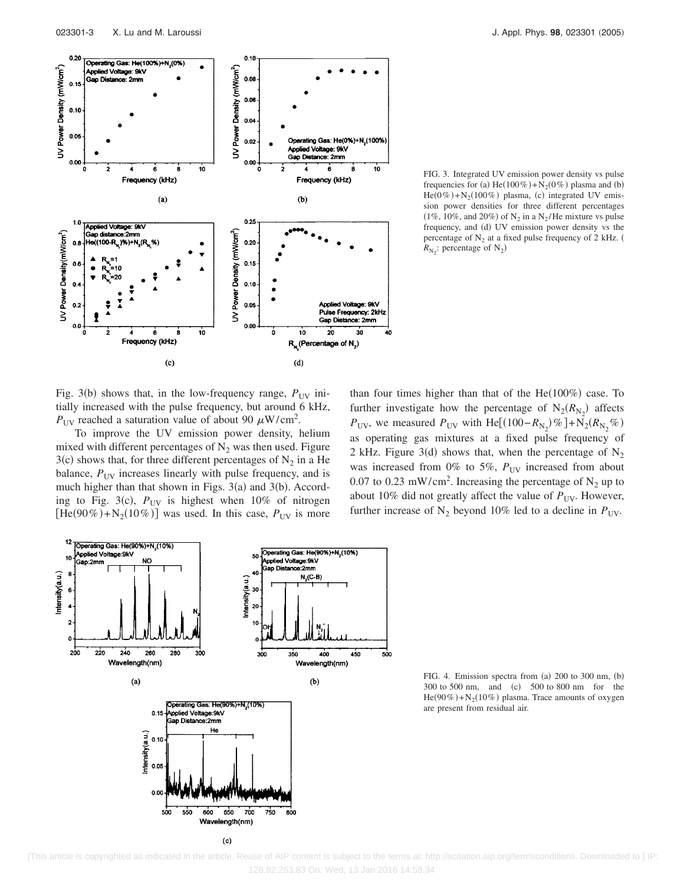

FIG. 3. Integrated UV emission power density vs pulse frequencies for (a)  $He(100\%) + N_2(0\%)$  plasma and (b)  $He(0\%) + N_2(100\%)$  plasma, (c) integrated UV emission power densities for three different percentages  $(1\%, 10\%, \text{ and } 20\%)$  of N<sub>2</sub> in a N<sub>2</sub>/He mixture vs pulse frequency, and (d) UV emission power density vs the percentage of  $N_2$  at a fixed pulse frequency of 2 kHz.  $R_{\text{N}_2}$ : percentage of N<sub>2</sub>)

Fig. 3(b) shows that, in the low-frequency range,  $P_{UV}$  initially increased with the pulse frequency, but around 6 kHz,  $P_{UV}$  reached a saturation value of about 90  $\mu$ W/cm<sup>2</sup>.

To improve the UV emission power density, helium mixed with different percentages of  $N<sub>2</sub>$  was then used. Figure  $3(c)$  shows that, for three different percentages of  $N_2$  in a He balance,  $P_{UV}$  increases linearly with pulse frequency, and is much higher than that shown in Figs.  $3(a)$  and  $3(b)$ . According to Fig. 3(c),  $P_{UV}$  is highest when 10% of nitrogen  $[He(90\%) + N_2(10\%)$  was used. In this case,  $P_{UV}$  is more

than four times higher than that of the  $He(100%)$  case. To further investigate how the percentage of  $N_2(R_{N_2})$  affects  $P_{UV}$ , we measured  $P_{UV}$  with He[(100− $R_{N_2}$ )% ]+N<sub>2</sub>( $R_{N_2}$ %) as operating gas mixtures at a fixed pulse frequency of 2 kHz. Figure 3(d) shows that, when the percentage of  $N_2$ was increased from 0% to 5%,  $P_{UV}$  increased from about 0.07 to 0.23 mW/cm<sup>2</sup>. Increasing the percentage of  $N_2$  up to about 10% did not greatly affect the value of  $P_{UV}$ . However, further increase of  $N_2$  beyond 10% led to a decline in  $P_{UV}$ .



FIG. 4. Emission spectra from  $(a)$  200 to 300 nm,  $(b)$ 300 to 500 nm, and (c) 500 to 800 nm for the  $He(90\%) + N_2(10\%)$  plasma. Trace amounts of oxygen are present from residual air.

 [This article is copyrighted as indicated in the article. Reuse of AIP content is subject to the terms at: http://scitation.aip.org/termsconditions. Downloaded to ] IP: 128.82.253.83 On: Wed, 13 Jan 2016 14:58:34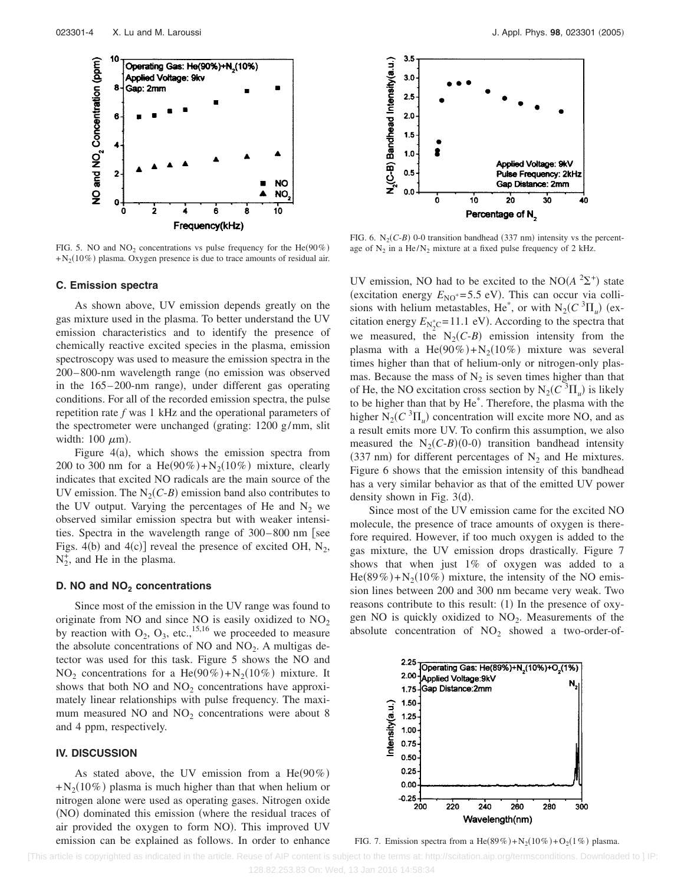

FIG. 5. NO and  $NO<sub>2</sub>$  concentrations vs pulse frequency for the He( $90\%$ )  $+N_2(10\%)$  plasma. Oxygen presence is due to trace amounts of residual air.

#### **C. Emission spectra**

As shown above, UV emission depends greatly on the gas mixture used in the plasma. To better understand the UV emission characteristics and to identify the presence of chemically reactive excited species in the plasma, emission spectroscopy was used to measure the emission spectra in the  $200-800$ -nm wavelength range (no emission was observed in the 165-200-nm range), under different gas operating conditions. For all of the recorded emission spectra, the pulse repetition rate *f* was 1 kHz and the operational parameters of the spectrometer were unchanged grating: 1200 g/mm, slit width:  $100 \ \mu m$ ).

Figure  $4(a)$ , which shows the emission spectra from 200 to 300 nm for a  $He(90\%) + N_2(10\%)$  mixture, clearly indicates that excited NO radicals are the main source of the UV emission. The  $N_2(C-B)$  emission band also contributes to the UV output. Varying the percentages of He and  $N_2$  we observed similar emission spectra but with weaker intensities. Spectra in the wavelength range of  $300-800$  nm [see Figs. 4(b) and 4(c)] reveal the presence of excited OH,  $N_2$ ,  $N_2^+$ , and He in the plasma.

#### **D. NO and NO<sub>2</sub> concentrations**

Since most of the emission in the UV range was found to originate from NO and since NO is easily oxidized to  $NO<sub>2</sub>$ by reaction with  $O_2$ ,  $O_3$ , etc.,<sup>15,16</sup> we proceeded to measure the absolute concentrations of NO and  $NO<sub>2</sub>$ . A multigas detector was used for this task. Figure 5 shows the NO and  $NO<sub>2</sub>$  concentrations for a He(90%)+ $N<sub>2</sub>(10%)$  mixture. It shows that both  $NO$  and  $NO<sub>2</sub>$  concentrations have approximately linear relationships with pulse frequency. The maximum measured NO and  $NO<sub>2</sub>$  concentrations were about 8 and 4 ppm, respectively.

#### **IV. DISCUSSION**

As stated above, the UV emission from a  $He(90\%)$  $+N_2(10\%)$  plasma is much higher than that when helium or nitrogen alone were used as operating gases. Nitrogen oxide (NO) dominated this emission (where the residual traces of air provided the oxygen to form NO). This improved UV emission can be explained as follows. In order to enhance



FIG. 6.  $N_2(C-B)$  0-0 transition bandhead (337 nm) intensity vs the percentage of  $N_2$  in a He/ $N_2$  mixture at a fixed pulse frequency of 2 kHz.

UV emission, NO had to be excited to the NO $(A<sup>2</sup>Σ<sup>+</sup>)$  state (excitation energy  $E_{\text{NO}^*}=5.5$  eV). This can occur via collisions with helium metastables, He<sup>\*</sup>, or with  $N_2(C^3\Pi_u)$  (excitation energy  $E_{\text{N}_2^*\text{C}} = 11.1 \text{ eV}$ . According to the spectra that we measured, the  $N_2(C-B)$  emission intensity from the plasma with a  $He(90\%) + N_2(10\%)$  mixture was several times higher than that of helium-only or nitrogen-only plasmas. Because the mass of  $N_2$  is seven times higher than that of He, the NO excitation cross section by  $N_2(C^3\Pi_u)$  is likely to be higher than that by He\* . Therefore, the plasma with the higher  $N_2(C^3 \Pi_u)$  concentration will excite more NO, and as a result emits more UV. To confirm this assumption, we also measured the  $N_2(C-B)(0-0)$  transition bandhead intensity (337 nm) for different percentages of  $N_2$  and He mixtures. Figure 6 shows that the emission intensity of this bandhead has a very similar behavior as that of the emitted UV power density shown in Fig.  $3(d)$ .

Since most of the UV emission came for the excited NO molecule, the presence of trace amounts of oxygen is therefore required. However, if too much oxygen is added to the gas mixture, the UV emission drops drastically. Figure 7 shows that when just 1% of oxygen was added to a He(89%)+ $N_2(10\%)$  mixture, the intensity of the NO emission lines between 200 and 300 nm became very weak. Two reasons contribute to this result: (1) In the presence of oxygen NO is quickly oxidized to  $NO<sub>2</sub>$ . Measurements of the absolute concentration of  $NO<sub>2</sub>$  showed a two-order-of-



FIG. 7. Emission spectra from a He(89%)+N<sub>2</sub>(10%)+O<sub>2</sub>(1%) plasma.

 <sup>[</sup>This article is copyrighted as indicated in the article. Reuse of AIP content is subject to the terms at: http://scitation.aip.org/termsconditions. Downloaded to ] IP: 128.82.253.83 On: Wed, 13 Jan 2016 14:58:34